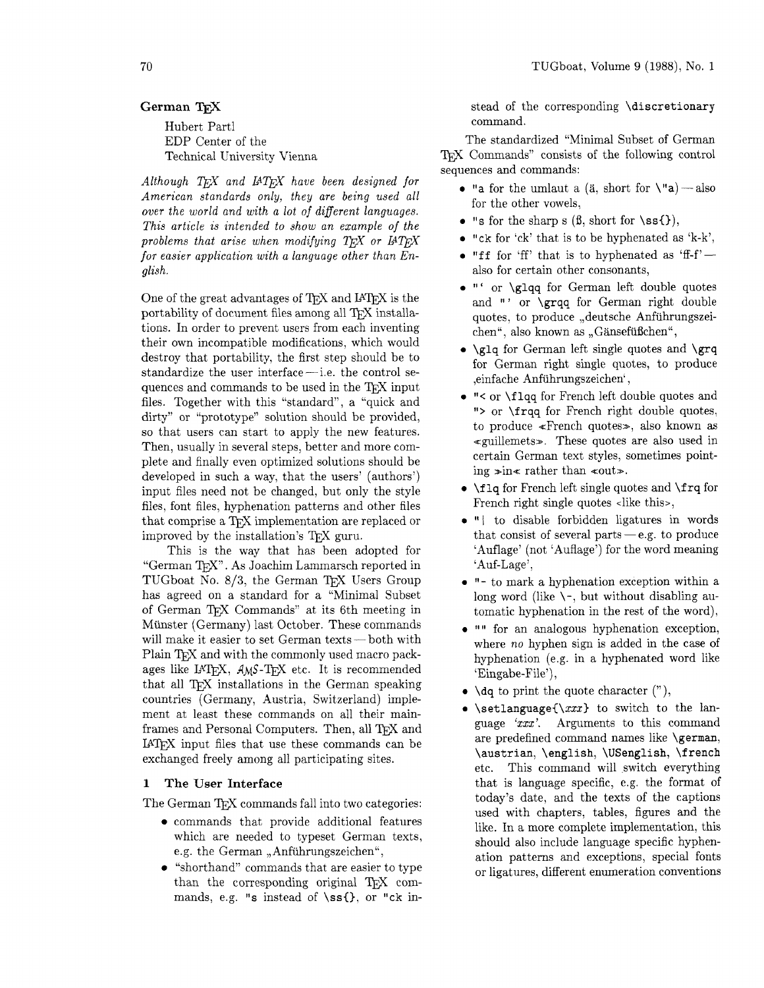# German T<sub>F</sub>X

Hubert Part1 EDP Center of the Technical University Vienna

Although *TEX* and *IATEX* have been designed for *American standards only, they are being used all over the world and with a lot of diflerent languages. This article is intended to show an example of the problems that arise when modifying TFX or IATFX for easier application with a language other than English.* 

One of the great advantages of TFX and IATFX is the portability of document files among all TEX installations. In order to prevent users from each inventing their own incompatible modifications, which would destroy that portability, the first step should be to standardize the user interface - i.e. the control sestandardize the user interface—i.e. the control sequences and commands to be used in the TFX input files. Together with this "standard", a "quick and dirty" or "prototype" solution should be provided, so that users can start to apply the new features. Then, usually in several steps, better and more complete and finally even optimized solutions should be developed in such a way, that the users' (authors') input files need not be changed. but only the style files, font files, hyphenation patterns and other files that comprise a TFX implementation are replaced or improved by the installation's T<sub>E</sub>X guru.

This is the way that has been adopted for "German TEX". As Joachim Lammarsch reported in TUGboat No. 8/3, the German TEX Users Group has agreed on a standard for a "Minimal Subset of German TEX Commands" at its 6th meeting in of German T<sub>E</sub>X Commands at its oth meeting in<br>Münster (Germany) last October. These commands<br>will make it easier to set German texts -- both with Plain T<sub>F</sub>X and with the commonly used macro packages like IATEX, AMS-TEX etc. It is recommended that all T<sub>F</sub>X installations in the German speaking countries (Germany, Austria, Switzerland) implement at least these commands on all their mainframes and Personal Computers. Then, all TFX and **IAT<sub>F</sub>X** input files that use these commands can be exchanged freely among all participating sites.

# **1 The User Interface**

The German T<sub>F</sub>X commands fall into two categories:

- commands that provide additional features which are needed to typeset German texts, e.g. the German "Anführungszeichen",
- "shorthand" commands that are easier to type than the corresponding original T<sub>FX</sub> commands, e.g. "s instead of  $\ss6\$ , or "ck in-

stead of the corresponding \discretionary command.

The standardized "Minimal Subset of German TEX Commands" consists of the following control sequences and commands:

- "a for the umlaut a (a, short for  $\nu$ "a) also for the other vowels,
- "s for the sharp s  $(\beta, \text{short for } \succeq \S),$
- $\bullet$  "ck for 'ck' that is to be hyphenated as 'k-k',
- $\bullet$  "ff for 'ff' that is to hyphenated as 'ff-f' $$ also for certain other consonants,
- $\bullet$  "' or \glqq for German left double quotes and "' or \grqq for German right double quotes, to produce ,,deutsche Anfiihrungszeichen", also known as "Gänsefüßchen",
- $\bullet$  \glq for German left single quotes and \grq for German right single quotes, to produce ,einfache Anfiihrungszeichen' ,
- "< or \f lqq for French left double quotes and "> or \frqq for French right double quotes, to produce <French quotes>, also known as  $\ll$ guillemets». These quotes are also used in certain German text styles, sometimes pointing  $\sin \epsilon$  rather than  $\arccos \epsilon$ .
- $\bullet$  \flq for French left single quotes and \frq for French right single quotes <like this>,
- "1 to disable forbidden ligatures in words that consist of several parts  $-e.g.$  to produce 'Auflage' (not 'Auflage') for the word meaning 'Auf-Lage',
- "- to mark a hyphenation exception within a long word (like  $\setminus \neg$ , but without disabling automatic hyphenation in the rest of the word),
- "" for an analogous hyphenation exception, where *no* hyphen sign is added in the case of hyphenation (e.g. in a hyphenated word like 'Eingabe-File'),
- $\bullet$  \dq to print the quote character ("),
- \setlanguage $\{\x x\}$  to switch to the language 'xxx'. Arguments to this command are predefined command names like \german, \austrian, \english, \USenglish, **\f** rench etc. This command will switch everything that is language specific, e.g. the format of today's date, and the texts of the captions used with chapters, tables, figures and the like. In a more complete implementation, this should also include language specific hyphenation patterns and exceptions, special fonts or ligatures, different enumeration conventions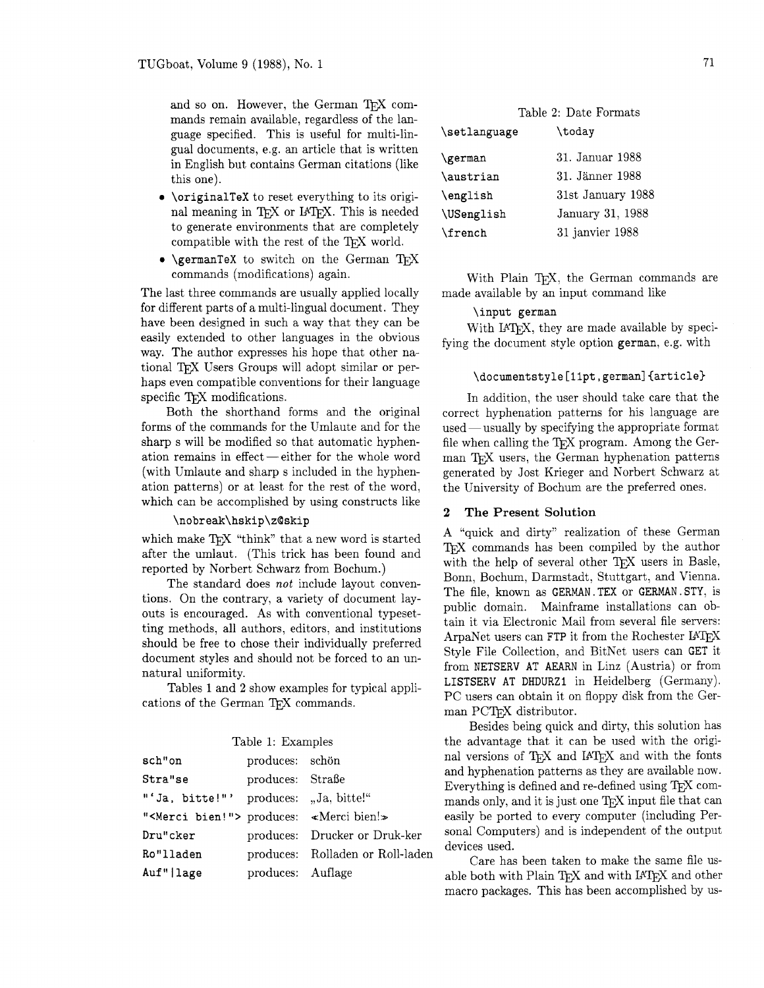and so on. However, the German TFX commands remain available, regardless of the language specified. This is useful for multi-lingual documents, e.g. an article that is written in English but contains German citations (like this one).

- **\originalTeX** to reset everything to its original meaning in TEX or IATEX. This is needed to generate environments that are completely compatible with the rest of the TFX world.
- **\germanTeX** to switch on the German T<sub>F</sub>X commands (modifications) again.

The last three commands are usually applied locally for different parts of a multi-lingual document. They have been designed in such a way that they can be easily extended to other languages in the obvious way. The author expresses his hope that other national TFX Users Groups will adopt similar or perhaps even compatible conventions for their language specific TFX modifications.

Both the shorthand forms and the original forms of the commands for the Umlaute and for the sharp s will be modified so that automatic hyphenation remains in  $effect - either$  for the whole word (with Umlaute and sharp s included in the hyphenation patterns) or at least for the rest of the word, which can be accomplished by using constructs like

### **\nobreak\hskip\z@skip**

which make TFX "think" that a new word is started after the umlaut. (This trick has been found and reported by Norbert Schwarz from Bochum.)

The standard does not include layout conventions. On the contrary, a variety of document layouts is encouraged. As with conventional typesetting methods, all authors, editors. and institutions should be free to chose their individually preferred document styles and should not be forced to an unnatural uniformity.

Tables 1 and 2 show examples for typical applications of the German TFX commands.

|  |  | Table 1: Examples |
|--|--|-------------------|
|--|--|-------------------|

| sch"on                                              | produces: schön   |                                  |
|-----------------------------------------------------|-------------------|----------------------------------|
| Stra"se                                             | produces: Straße  |                                  |
| "'Ja, bitte!"' produces: "Ja, bitte!"               |                   |                                  |
| " <merci bien!"=""> produces: «Merci bien!»</merci> |                   |                                  |
| Dru"cker                                            |                   | produces: Drucker or Druk-ker    |
| Ro"lladen                                           |                   | produces: Rolladen or Roll-laden |
| Auf"   lage                                         | produces: Auflage |                                  |

| Table 2: Date Formats |                   |  |
|-----------------------|-------------------|--|
| \setlanguage          | \todav            |  |
| \german               | 31. Januar 1988   |  |
| \austrian             | 31. Jänner 1988   |  |
| \english              | 31st January 1988 |  |
| \USenglish            | January 31, 1988  |  |
| \french               | 31 janvier 1988   |  |

With Plain TFX, the German commands are made available by an input command like

**\input german** 

With IATFX, they are made available by specifying the document style option **german,** e.g. with

## \documentstyle[11pt, german]{article}

In addition, the user should take care that the correct hyphenation patterns for his language are used — usually by specifying the appropriate format file when calling the  $T<sub>F</sub>X program. Among the Ger$ man T<sub>F</sub>X users, the German hyphenation patterns generated by Jost Krieger and Norbert Schwarz at the University of Bochum are the preferred ones.

#### **2 The Present Solution**

A "quick and dirty" realization of these German T<sub>F</sub>X commands has been compiled by the author with the help of several other TFX users in Basle, Bonn, Bochum, Darmstadt, Stuttgart, and Vienna. The file, known as **GERMAN. TEX** or **GERMAN. STY,** is public domain. Mainframe installations can obtain it via Electronic Mail from several file servers: ArpaNet users can FTP it from the Rochester IATEX Style File Collection, and BitNet users can GET it from **NETSERV AT AEARN** in Linz (Austria) or from **LISTSERV AT DHDURZI** in Heidelberg (Germany). PC users can obtain it on floppy disk from the German PCT<sub>F</sub>X distributor.

Besides being quick and dirty, this solution has the advantage that it can be used with the original versions of TFX and IATFX and with the fonts and hyphenation patterns as they are available now. Everything is defined and re-defined using T<sub>F</sub>X commands only, and it is just one T<sub>F</sub>X input file that can easily be ported to every computer (including Personal Computers) and is independent of the output devices used.

Care has been taken to make the same file usable both with Plain T<sub>F</sub>X and with IAT<sub>F</sub>X and other macro packages. This has been accomplished by us-